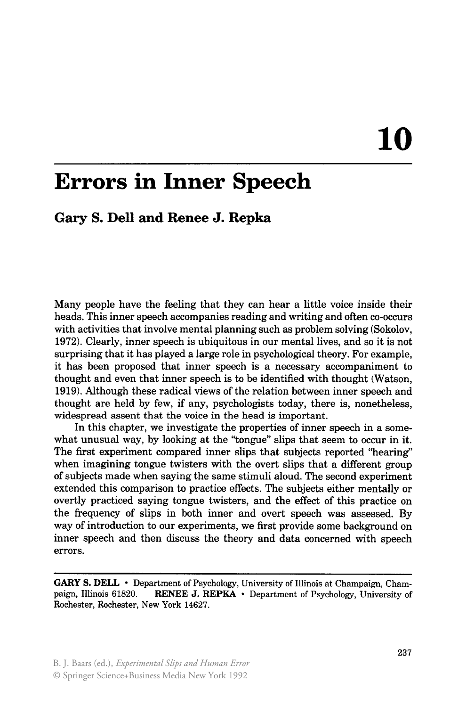# **10**

# **Errors in Inner Speech**

# **Gary S. Dell and Renee J. Repka**

Many people have the feeling that they can hear a little voice inside their heads. This inner speech accompanies reading and writing and often co-occurs with activities that involve mental planning such as problem solving (Sokolov, 1972). Clearly, inner speech is ubiquitous in our mental lives, and so it is not surprising that it has played a large role in psychological theory. For example, it has been proposed that inner speech is a necessary accompaniment to thought and even that inner speech is to be identified with thought (Watson, 1919). Although these radical views of the relation between inner speech and thought are held by few, if any, psychologists today, there is, nonetheless, widespread assent that the voice in the head is important.

In this chapter, we investigate the properties of inner speech in a somewhat unusual way, by looking at the "tongue" slips that seem to occur in it. The first experiment compared inner slips that subjects reported "hearing" when imagining tongue twisters with the overt slips that a different group of subjects made when saying the same stimuli aloud. The second experiment extended this comparison to practice effects. The subjects either mentally or overtly practiced saying tongue twisters, and the effect of this practice on the frequency of slips in both inner and overt speech was assessed. By way of introduction to our experiments, we first provide some background on inner speech and then discuss the theory and data concerned with speech errors.

GARY S. DELL • Department of Psychology, University of Illinois at Champaign, Champaign, Illinois 61820. RENEE J. REPKA  $\cdot$  Department of Psychology, University of Rochester, Rochester, New York 14627.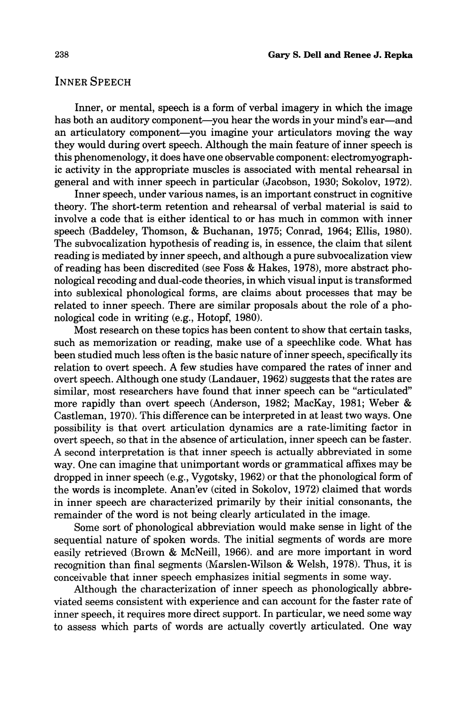# INNER SPEECH

Inner, or mental, speech is a form of verbal imagery in which the image has both an auditory component-you hear the words in your mind's ear-and an articulatory component-you imagine your articulators moving the wav they would during overt speech. Although the main feature of inner speech is this phenomenology, it does have one observable component: electromyographic activity in the appropriate muscles is associated with mental rehearsal in general and with inner speech in particular (Jacobson, 1930; Sokolov, 1972).

Inner speech, under various names, is an important construct in cognitive theory. The short-term retention and rehearsal of verbal material is said to involve a code that is either identical to or has much in common with inner speech (Baddeley, Thomson, & Buchanan, 1975; Conrad, 1964; Ellis, 1980). The subvocalization hypothesis of reading is, in essence, the claim that silent reading is mediated by inner speech, and although a pure subvocalization view of reading has been discredited (see Foss & Hakes, 1978), more abstract phonological recoding and dual-code theories, in which visual input is transformed into sublexical phonological forms, are claims about processes that may be related to inner speech. There are similar proposals about the role of a phonological code in writing (e.g., Hotopf, 1980).

Most research on these topics has been content to show that certain tasks, such as memorization or reading, make use of a speechlike code. What has been studied much less often is the basic nature of inner speech, specifically its relation to overt speech. A few studies have compared the rates of inner and overt speech. Although one study (Landauer, 1962) suggests that the rates are similar, most researchers have found that inner speech can be "articulated" more rapidly than overt speech (Anderson, 1982; MacKay, 1981; Weber & Castleman, 1970). This difference can be interpreted in at least two ways. One possibility is that overt articulation dynamics are a rate-limiting factor in overt speech, so that in the absence of articulation, inner speech can be faster. A second interpretation is that inner speech is actually abbreviated in some way. One can imagine that unimportant words or grammatical affixes may be dropped in inner speech (e.g., Vygotsky, 1962) or that the phonological form of the words is incomplete. Anan'ev (cited in Sokolov, 1972) claimed that words in inner speech are characterized primarily by their initial consonants, the remainder of the word is not being clearly articulated in the image.

Some sort of phonological abbreviation would make sense in light of the sequential nature of spoken words. The initial segments of words are more easily retrieved (Brown & McNeill, 1966). and are more important in word recognition than final segments (Marslen-Wilson & Welsh, 1978). Thus, it is conceivable that inner speech emphasizes initial segments in some way.

Although the characterization of inner speech as phonologically abbreviated seems consistent with experience and can account for the faster rate of inner speech, it requires more direct support. In particular, we need some way to assess which parts of words are actually covertly articulated. One way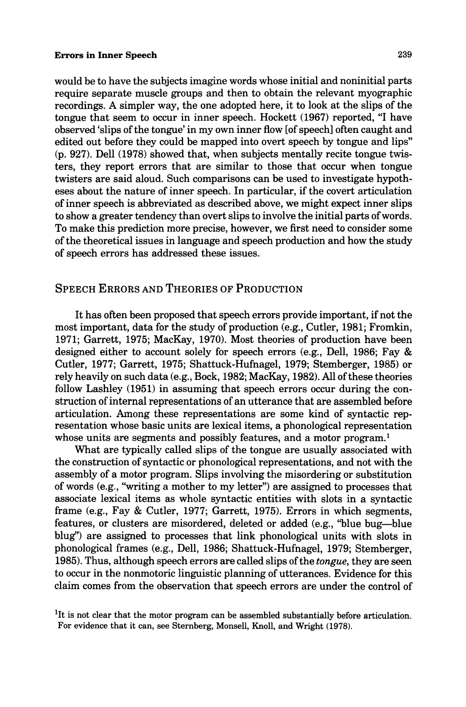would be to have the subjects imagine words whose initial and noninitial parts require separate muscle groups and then to obtain the relevant myographic recordings. A simpler way, the one adopted here, it to look at the slips of the tongue that seem to occur in inner speech. Hockett (1967) reported, "I have observed 'slips of the tongue' in my own inner flow [of speech] often caught and edited out before they could be mapped into overt speech by tongue and lips" (p. 927). Dell (1978) showed that, when subjects mentally recite tongue twisters, they report errors that are similar to those that occur when tongue twisters are said aloud. Such comparisons can be used to investigate hypotheses about the nature of inner speech. In particular, if the covert articulation of inner speech is abbreviated as described above, we might expect inner slips to show a greater tendency than overt slips to involve the initial parts of words. To make this prediction more precise, however, we first need to consider some of the theoretical issues in language and speech production and how the study of speech errors has addressed these issues.

# SPEECH ERRORS AND THEORIES OF PRODUCTION

It has often been proposed that speech errors provide important, if not the most important, data for the study of production (e.g., Cutler, 1981; Fromkin, 1971; Garrett, 1975; MacKay, 1970). Most theories of production have been designed either to account solely for speech errors (e.g., Dell, 1986; Fay & Cutler, 1977; Garrett, 1975; Shattuck-Hufnagel, 1979; Stemberger, 1985) or rely heavily on such data (e.g., Bock, 1982; MacKay, 1982). All of these theories follow Lashley (1951) in assuming that speech errors occur during the construction of internal representations of an utterance that are assembled before articulation. Among these representations are some kind of syntactic representation whose basic units are lexical items, a phonological representation whose units are segments and possibly features, and a motor program.<sup>1</sup>

What are typically called slips of the tongue are usually associated with the construction of syntactic or phonological representations, and not with the assembly of a motor program. Slips involving the misordering or substitution of words (e.g., "writing a mother to my letter") are assigned to processes that associate lexical items as whole syntactic entities with slots in a syntactic frame (e.g., Fay & Cutler, 1977; Garrett, 1975). Errors in which segments, features, or clusters are misordered, deleted or added (e.g., ''blue bug-blue blug") are assigned to processes that link phonological units with slots in phonological frames (e.g., Dell, 1986; Shattuck-Hufnagel, 1979; Stemberger, 1985). Thus, although speech errors are called slips of the *tongue,* they are seen to occur in the nonmotoric linguistic planning of utterances. Evidence for this claim comes from the observation that speech errors are under the control of

 ${}^{1}$ It is not clear that the motor program can be assembled substantially before articulation. For evidence that it can, see Sternberg, Monsell, Knoll, and Wright (1978).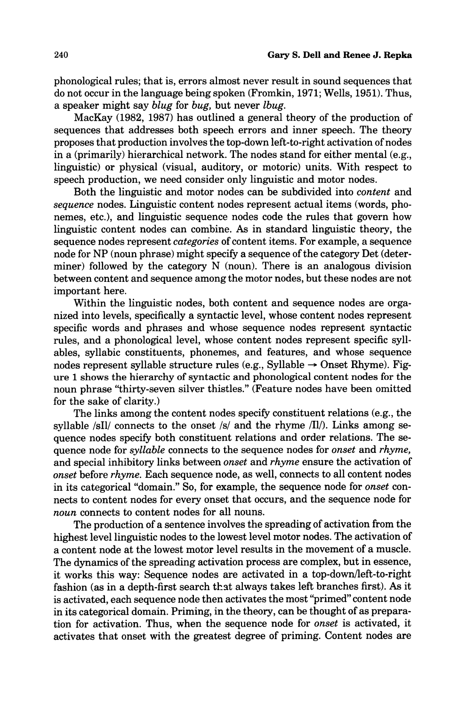phonological rules; that is, errors almost never result in sound sequences that do not occur in the language being spoken (Fromkin, 1971; Wells, 1951). Thus, a speaker might say *blug* for *bug,* but never *lbug.* 

MacKay (1982, 1987) has outlined a general theory of the production of sequences that addresses both speech errors and inner speech. The theory proposes that production involves the top-down left-to-right activation of nodes in a (primarily) hierarchical network. The nodes stand for either mental (e.g., linguistic) or physical (visual, auditory, or motoric) units. With respect to speech production, we need consider only linguistic and motor nodes.

Both the linguistic and motor nodes can be subdivided into *content* and *sequence* nodes. Linguistic content nodes represent actual items (words, phonemes, etc.), and linguistic sequence nodes code the rules that govern how linguistic content nodes can combine. As in standard linguistic theory, the sequence nodes represent *categories* of content items. For example, a sequence node for NP (noun phrase) might specify a sequence of the category Det (determiner) followed by the category N (noun). There is an analogous division between content and sequence among the motor nodes, but these nodes are not important here.

Within the linguistic nodes, both content and sequence nodes are organized into levels, specifically a syntactic level, whose content nodes represent specific words and phrases and whose sequence nodes represent syntactic rules, and a phonological level, whose content nodes represent specific syllables, syllabic constituents, phonemes, and features, and whose sequence nodes represent syllable structure rules (e.g., Syllable  $\rightarrow$  Onset Rhyme). Figure 1 shows the hierarchy of syntactic and phonological content nodes for the noun phrase "thirty-seven silver thistles." (Feature nodes have been omitted for the sake of clarity.)

The links among the content nodes specify constituent relations (e.g., the syllable  $\langle sI \rangle$  connects to the onset  $\langle s \rangle$  and the rhyme  $\langle I \rangle$ . Links among sequence nodes specify both constituent relations and order relations. The sequence node for *syllable* connects to the sequence nodes for *onset* and *rhyme,*  and special inhibitory links between *onset* and *rhyme* ensure the activation of *onset* before *rhyme.* Each sequence node, as well, connects to all content nodes in its categorical "domain." So, for example, the sequence node for *onset* connects to content nodes for every onset that occurs, and the sequence node for *noun* connects to content nodes for all nouns.

The production of a sentence involves the spreading of activation from the highest level linguistic nodes to the lowest level motor nodes. The activation of a content node at the lowest motor level results in the movement of a muscle. The dynamics of the spreading activation process are complex, but in essence, it works this way: Sequence nodes are activated in a top-down/left-to-right fashion (as in a depth-first search that always takes left branches first). As it is activated, each sequence node then activates the most "primed" content node in its categorical domain. Priming, in the theory, can be thought of as preparation for activation. Thus, when the sequence node for *onset* is activated, it activates that onset with the greatest degree of priming. Content nodes are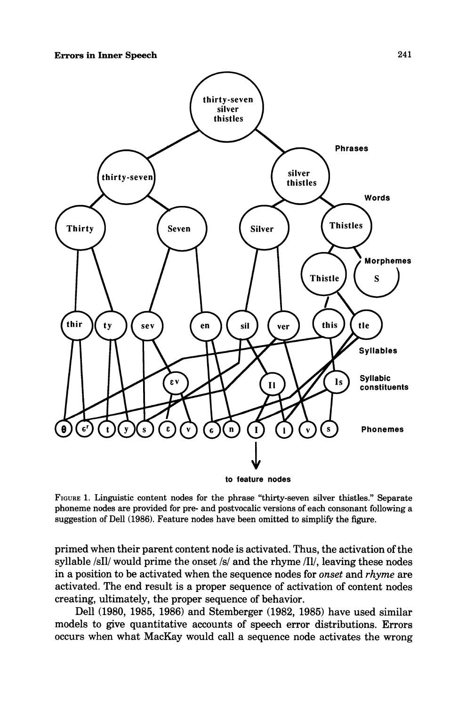

to feature nodes

FIGURE 1. Linguistic content nodes for the phrase "thirty-seven silver thistles." Separate phoneme nodes are provided for pre- and postvocalic versions of each consonant following a suggestion of Dell (1986). Feature nodes have been omitted to simplify the figure.

primed when their parent content node is activated. Thus, the activation of the syllable *IsIl/* would prime the onset *lsi* and the rhyme */Ill,* leaving these nodes in a position to be activated when the sequence nodes for *onset* and *rhyme* are activated. The end result is a proper sequence of activation of content nodes creating, ultimately, the proper sequence of behavior.

Dell (1980, 1985, 1986) and Stemberger (1982, 1985) have used similar models to give quantitative accounts of speech error distributions. Errors occurs when what MacKay would call a sequence node activates the wrong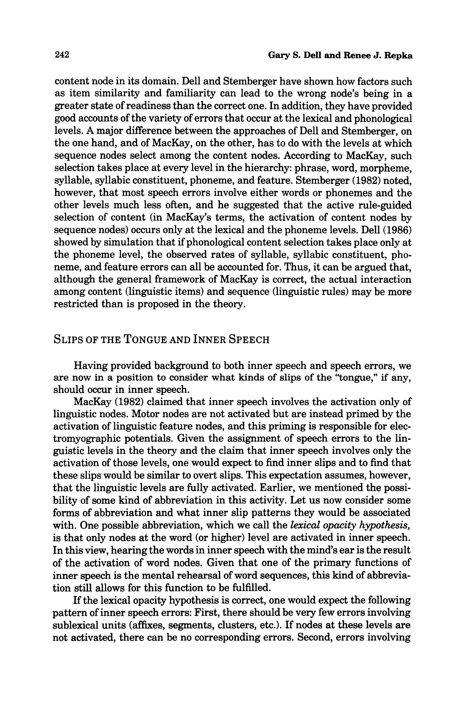content node in its domain. Dell and Stemberger have shown how factors such as item similarity and familiarity can lead to the wrong node's being in a greater state of readiness than the correct one. In addition, they have provided good accounts of the variety of errors that occur at the lexical and phonological levels. A major difference between the approaches of Dell and Stemberger, on the one hand, and of MacKay, on the other, has to do with the levels at which sequence nodes select among the content nodes. According to MacKay, such selection takes place at every level in the hierarchy: phrase, word, morpheme, syllable, syllabic constituent, phoneme, and feature. Stemberger (1982) noted, however, that most speech errors involve either words or phonemes and the other levels much less often, and he suggested that the active rule-guided selection of content (in MacKay's terms, the activation of content nodes by sequence nodes) occurs only at the lexical and the phoneme levels. Dell (1986) showed by simulation that if phonological content selection takes place only at the phoneme level, the observed rates of syllable, syllabic constituent, phoneme, and feature errors can all be accounted for. Thus, it can be argued that, although the general framework of MacKay is correct, the actual interaction among content (linguistic items) and sequence (linguistic rules) may be more restricted than is proposed in the theory.

# SLIPS OF THE TONGUE AND INNER SPEECH

Having provided background to both inner speech and speech errors, we are now in a position to consider what kinds of slips of the "tongue," if any, should occur in inner speech.

MacKay (1982) claimed that inner speech involves the activation only of linguistic nodes. Motor nodes are not activated but are instead primed by the activation of linguistic feature nodes, and this priming is responsible for electromyographic potentials. Given the assignment of speech errors to the linguistic levels in the theory and the claim that inner speech involves only the activation of those levels, one would expect to find inner slips and to find that these slips would be similar to overt slips. This expectation assumes, however, that the linguistic levels are fully activated. Earlier, we mentioned the possibility of some kind of abbreviation in this activity. Let us now consider some forms of abbreviation and what inner slip patterns they would be associated with. One possible abbreviation, which we call the *lexical opacity hypothesis,*  is that only nodes at the word (or higher) level are activated in inner speech. In this view, hearing the words in inner speech with the mind's ear is the result of the activation of word nodes. Given that one of the primary functions of inner speech is the mental rehearsal of word sequences, this kind of abbreviation still allows for this function to be fulfilled.

If the lexical opacity hypothesis is correct, one would expect the following pattern of inner speech errors: First, there should be very few errors involving sublexical units (affixes, segments, clusters, etc.). If nodes at these levels are not activated, there can be no corresponding errors. Second, errors involving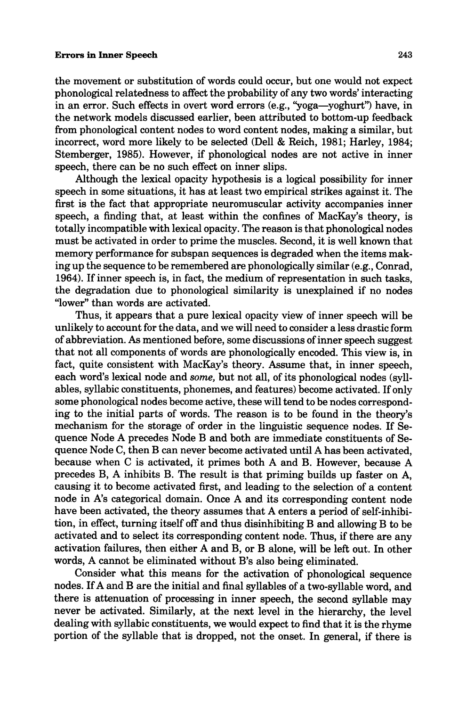the movement or substitution of words could occur, but one would not expect phonological relatedness to affect the probability of any two words' interacting in an error. Such effects in overt word errors (e.g., "yoga-yoghurt") have, in the network models discussed earlier, been attributed to bottom-up feedback from phonological content nodes to word content nodes, making a similar, but incorrect, word more likely to be selected (Dell & Reich, 1981; Harley, 1984; Stemberger, 1985). However, if phonological nodes are not active in inner speech, there can be no such effect on inner slips.

Although the lexical opacity hypothesis is a logical possibility for inner speech in some situations, it has at least two empirical strikes against it. The first is the fact that appropriate neuromuscular activity accompanies inner speech, a finding that, at least within the confines of MacKay's theory, is totally incompatible with lexical opacity. The reason is that phonological nodes must be activated in order to prime the muscles. Second, it is well known that memory performance for subspan sequences is degraded when the items making up the sequence to be remembered are phonologically similar (e.g., Conrad, 1964). If inner speech is, in fact, the medium of representation in such tasks, the degradation due to phonological similarity is unexplained if no nodes ''lower'' than words are activated.

Thus, it appears that a pure lexical opacity view of inner speech will be unlikely to account for the data, and we will need to consider a less drastic form of abbreviation. As mentioned before, some discussions of inner speech suggest that not all components of words are phonologically encoded. This view is, in fact, quite consistent with MacKay's theory. Assume that, in inner speech, each word's lexical node and *some*, but not all, of its phonological nodes (syllables, syllabic constituents, phonemes, and features) become activated. If only some phonological nodes become active, these will tend to be nodes corresponding to the initial parts of words. The reason is to be found in the theory's mechanism for the storage of order in the linguistic sequence nodes. If Sequence Node A precedes Node B and both are immediate constituents of Sequence Node C, then B can never become activated until A has been activated, because when C is activated, it primes both A and B. However, because A precedes B, A inhibits B. The result is that priming builds up faster on A, causing it to become activated first, and leading to the selection of a content node in A's categorical domain. Once A and its corresponding content node have been activated, the theory assumes that A enters a period of self-inhibition, in effect, turning itself off and thus disinhibiting B and allowing B to be activated and to select its corresponding content node. Thus, if there are any activation failures, then either A and B, or B alone, will be left out. In other words, A cannot be eliminated without B's also being eliminated.

Consider what this means for the activation of phonological sequence nodes. If A and B are the initial and final syllables of a two-syllable word, and there is attenuation of processing in inner speech, the second syllable may never be activated. Similarly, at the next level in the hierarchy, the level dealing with syllabic constituents, we would expect to find that it is the rhyme portion of the syllable that is dropped, not the onset. In general, if there is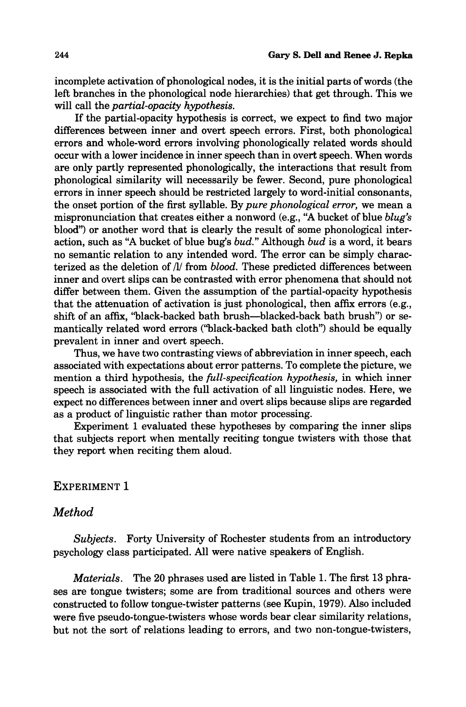incomplete activation of phonological nodes, it is the initial parts of words (the left branches in the phonological node hierarchies) that get through. This we will call the *partial-opacity hypothesis.* 

If the partial-opacity hypothesis is correct, we expect to find two major differences between inner and overt speech errors. First, both phonological errors and whole-word errors involving phonologically related words should occur with a lower incidence in inner speech than in overt speech. When words are only partly represented phonologically, the interactions that result from phonological similarity will necessarily be fewer. Second, pure phonological errors in inner speech should be restricted largely to word-initial consonants, the onset portion of the first syllable. By *pure phonological error,* we mean a mispronunciation that creates either a nonword (e.g., "A bucket of blue *blug's*  blood") or another word that is clearly the result of some phonological interaction, such as "A bucket of blue bug's *bud."* Although *bud* is a word, it bears no semantic relation to any intended word. The error can be simply characterized as the deletion of /l/ from *blood.* These predicted differences between inner and overt slips can be contrasted with error phenomena that should not differ between them. Given the assumption of the partial-opacity hypothesis that the attenuation of activation is just phonological, then affix errors (e.g., shift of an affix, ''black-backed bath brush-blacked-back bath brush'') or semantically related word errors (''black-backed bath cloth'') should be equally prevalent in inner and overt speech.

Thus, we have two contrasting views of abbreviation in inner speech, each associated with expectations about error patterns. To complete the picture, we mention a third hypothesis, the *full-specification hypothesis,* in which inner speech is associated with the full activation of all linguistic nodes. Here, we expect no differences between inner and overt slips because slips are regarded as a product of linguistic rather than motor processing.

Experiment 1 evaluated these hypotheses by comparing the inner slips that subjects report when mentally reciting tongue twisters with those that they report when reciting them aloud.

# EXPERIMENT 1

# *Method*

*Subjects.* Forty University of Rochester students from an introductory psychology class participated. All were native speakers of English.

*Materials.* The 20 phrases used are listed in Table 1. The first 13 phrases are tongue twisters; some are from traditional sources and others were constructed to follow tongue-twister patterns (see Kupin, 1979). Also included were five pseudo-tongue-twisters whose words bear clear similarity relations, but not the sort of relations leading to errors, and two non-tongue-twisters,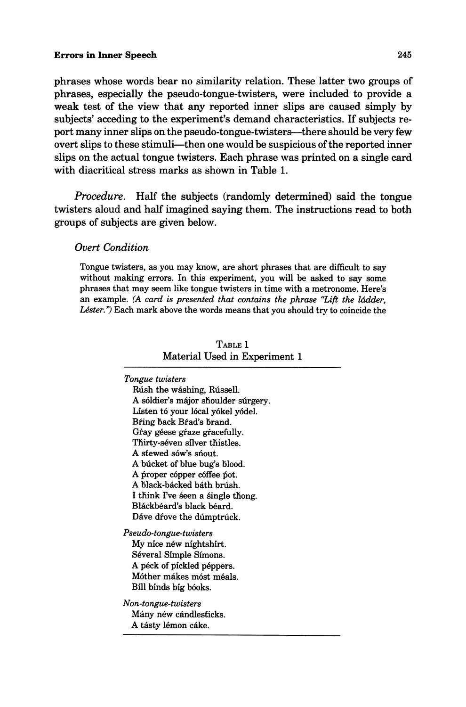phrases whose words bear no similarity relation. These latter two groups of phrases, especially the pseudo-tongue-twisters, were included to provide a weak test of the view that any reported inner slips are caused simply by subjects' acceding to the experiment's demand characteristics. If subjects report many inner slips on the pseudo-tongue-twisters-there should be very few overt slips to these stimuli-then one would be suspicious of the reported inner slips on the actual tongue twisters. Each phrase was printed on a single card with diacritical stress marks as shown in Table 1.

*Procedure.* Half the subjects (randomly determined) said the tongue twisters aloud and half imagined saying them. The instructions read to both groups of subjects are given below.

## *Overt Condition*

Tongue twisters, as you may know, are short phrases that are difficult to say without making errors. In this experiment, you will be asked to say some phrases that may seem like tongue twisters in time with a metronome. Here's an example. *(A card is presented that contains the phrase "Lift the ladder, Léster.*") Each mark above the words means that you should try to coincide the

| Material Used in Experiment 1       |
|-------------------------------------|
| Tongue twisters                     |
| Rúsh the wáshing, Rússell.          |
| A sóldier's májor shoulder súrgery. |
| Listen tó your lócal yókel yódel.   |
| Bring back Brad's brand.            |
| Gray géese graze gracefully.        |
| Thirty-séven silver thistles.       |
| A stewed sów's snout.               |
| A búcket of blue bug's blood.       |
| A proper copper coffee pot.         |
| A black-bácked báth brúsh.          |
| I think I've seen a single thong.   |
| Bláckbéard's black béard.           |
| Dáve dŕove the dúmptrúck.           |
| Pseudo-tongue-twisters              |
| My nice néw nightshirt.             |
| Séveral Símple Símons.              |
| A péck of pickled péppers.          |
| Móther mákes móst méals.            |
| Bill binds big bóoks.               |
| Non-tongue-twisters                 |
| Mány néw cándlesticks.              |
| A tásty lémon cáke.                 |
|                                     |

# TABLE 1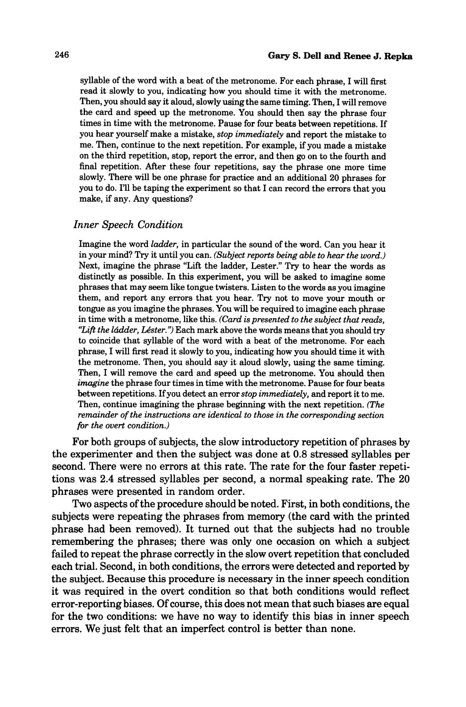syllable of the word with a beat of the metronome. For each phrase, I will first read it slowly to you, indicating how you should time it with the metronome. Then, you should say it aloud, slowly using the same timing. Then, I will remove the card and speed up the metronome. You should then say the phrase four times in time with the metronome. Pause for four beats between repetitions. If you hear yourself make a mistake, *stop immediately* and report the mistake to me. Then, continue to the next repetition. For example, if you made a mistake on the third repetition, stop, report the error, and then go on to the fourth and final repetition. After these four repetitions, say the phrase one more time slowly. There will be one phrase for practice and an additional 20 phrases for you to do. III be taping the experiment so that I can record the errors that you make, if any. Any questions?

### *Inner Speech Condition*

Imagine the word *ladder,* in particular the sound of the word. Can you hear it in your mind? Try it until you can. *(Subject reports being able to hear the word.)*  Next, imagine the phrase "Lift the ladder, Lester." Try to hear the words as distinctly as possible. In this experiment, you will be asked to imagine some phrases that may seem like tongue twisters. Listen to the words as you imagine them, and report any errors that you hear. Try not to move your mouth or tongue as you imagine the phrases. You will be required to imagine each phrase in time with a metronome, like this. *(Card is presented to the subject that reads, "Lift the ládder, Léster."*) Each mark above the words means that you should try to coincide that syllable of the word with a beat of the metronome. For each phrase, I will first read it slowly to you, indicating how you should time it with the metronome. Then, you should say it aloud slowly, using the same timing. Then, I will remove the card and speed up the metronome. You should then *imagine* the phrase four times in time with the metronome. Pause for four beats between repetitions. If you detect an error *stop immediately,* and report it to me. Then, continue imagining the phrase beginning with the next repetition. *(The remainder of the instructions are identical to those in the corresponding section for the overt condition.)* 

For both groups of subjects, the slow introductory repetition of phrases by the experimenter and then the subject was done at 0.8 stressed syllables per second. There were no errors at this rate. The rate for the four faster repetitions was 2.4 stressed syllables per second, a normal speaking rate. The 20 phrases were presented in random order.

Two aspects of the procedure should be noted. First, in both conditions, the subjects were repeating the phrases from memory (the card with the printed phrase had been removed). It turned out that the subjects had no trouble remembering the phrases; there was only one occasion on which a subject failed to repeat the phrase correctly in the slow overt repetition that concluded each trial. Second, in both conditions, the errors were detected and reported by the subject. Because this procedure is necessary in the inner speech condition it was required in the overt condition so that both conditions would reflect error-reporting biases. Of course, this does not mean that such biases are equal for the two conditions: we have no way to identify this bias in inner speech errors. We just felt that an imperfect control is better than none.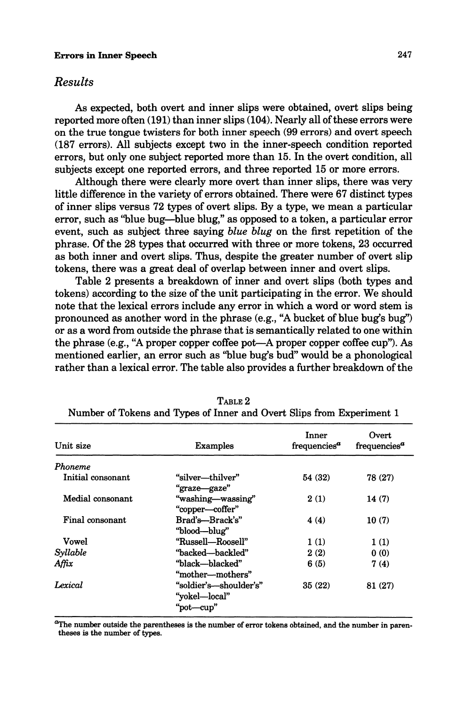# *Results*

As expected, both overt and inner slips were obtained, overt slips being reported more often (191) than inner slips (104). Nearly all of these errors were on the true tongue twisters for both inner speech (99 errors) and overt speech (187 errors). All subjects except two in the inner-speech condition reported errors, but only one subject reported more than 15. In the overt condition, all subjects except one reported errors, and three reported 15 or more errors.

Although there were clearly more overt than inner slips, there was very little difference in the variety of errors obtained. There were 67 distinct types of inner slips versus 72 types of overt slips. By a type, we mean a particular error, such as ''blue bug-blue blug," as opposed to a token, a particular error event, such as subject three saying *blue blug* on the first repetition of the phrase. Of the 28 types that occurred with three or more tokens, 23 occurred as both inner and overt slips. Thus, despite the greater number of overt slip tokens, there was a great deal of overlap between inner and overt slips.

Table 2 presents a breakdown of inner and overt slips (both types and tokens) according to the size of the unit participating in the error. We should note that the lexical errors include any error in which a word or word stem is pronounced as another word in the phrase (e.g., "A bucket of blue bug's bug'') or as a word from outside the phrase that is semantically related to one within the phrase (e.g., "A proper copper coffee pot-A proper copper coffee cup"). As mentioned earlier, an error such as ''blue bug's bud" would be a phonological rather than a lexical error. The table also provides a further breakdown of the

| Unit size         | <b>Examples</b>                                      | Inner<br>frequencies <sup><math>a</math></sup> | Overt<br>frequencies $a$ |
|-------------------|------------------------------------------------------|------------------------------------------------|--------------------------|
| Phoneme           |                                                      |                                                |                          |
| Initial consonant | "silver—thilver"<br>"graze—gaze"                     | 54 (32)                                        | 78 (27)                  |
| Medial consonant  | "washing-wassing"<br>"copper-coffer"                 | 2(1)                                           | 14(7)                    |
| Final consonant   | Brad's-Brack's"<br>"blood—blug"                      | 4(4)                                           | 10(7)                    |
| Vowel             | "Russell—Roosell"                                    | 1(1)                                           | 1(1)                     |
| Syllable          | "backed—backled"                                     | 2(2)                                           | 0(0)                     |
| Affix             | "black—blacked"<br>"mother-mothers"                  | 6(5)                                           | 7(4)                     |
| Lexical           | "soldier's—shoulder's"<br>"yokel—local"<br>"pot-cup" | 35 (22)                                        | 81 (27)                  |

TABLE 2 Number of Tokens and Types of Inner and Overt Slips from Experiment 1

 ${}^{\alpha}$ The number outside the parentheses is the number of error tokens obtained, and the number in parentheses is the number of types.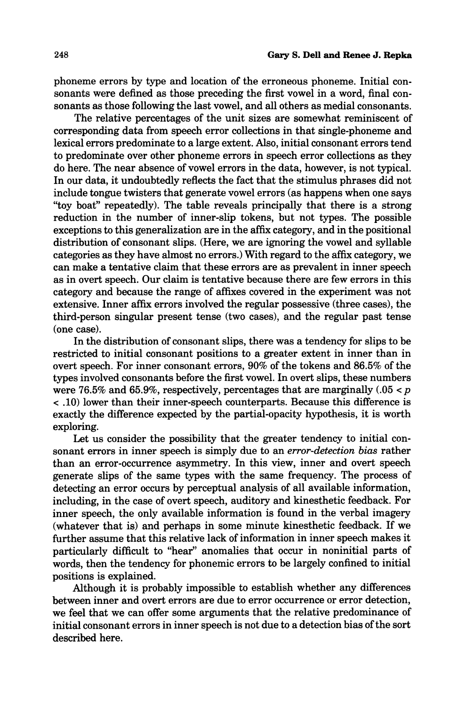phoneme errors by type and location of the erroneous phoneme. Initial consonants were defined as those preceding the first vowel in a word, final consonants as those following the last vowel, and all others as medial consonants.

The relative percentages of the unit sizes are somewhat reminiscent of corresponding data from speech error collections in that single-phoneme and lexical errors predominate to a large extent. Also, initial consonant errors tend to predominate over other phoneme errors in speech error collections as they do here. The near absence of vowel errors in the data, however, is not typical. In our data, it undoubtedly reflects the fact that the stimulus phrases did not include tongue twisters that generate vowel errors (as happens when one says ''toy boat" repeatedly). The table reveals principally that there is a strong reduction in the number of inner-slip tokens, but not types. The possible exceptions to this generalization are in the affix category, and in the positional distribution of consonant slips. (Here, we are ignoring the vowel and syllable categories as they have almost no errors.) With regard to the affix category, we can make a tentative claim that these errors are as prevalent in inner speech as in overt speech. Our claim is tentative because there are few errors in this category and because the range of affixes covered in the experiment was not extensive. Inner affix errors involved the regular possessive (three cases), the third-person singular present tense (two cases), and the regular past tense (one case).

In the distribution of consonant slips, there was a tendency for slips to be restricted to initial consonant positions to a greater extent in inner than in overt speech. For inner consonant errors, 90% of the tokens and 86.5% of the types involved consonants before the first vowel. In overt slips, these numbers were 76.5% and 65.9%, respectively, percentages that are marginally (.05 < *p*  < .10) lower than their inner-speech counterparts. Because this difference is exactly the difference expected by the partial-opacity hypothesis, it is worth exploring.

Let us consider the possibility that the greater tendency to initial consonant errors in inner speech is simply due to an *error-detection bias* rather than an error-occurrence asymmetry. In this view, inner and overt speech generate slips of the same types with the same frequency. The process of detecting an error occurs by perceptual analysis of all available information, including, in the case of overt speech, auditory and kinesthetic feedback. For inner speech, the only available information is found in the verbal imagery (whatever that is) and perhaps in some minute kinesthetic feedback. If we further assume that this relative lack of information in inner speech makes it particularly difficult to "hear" anomalies that occur in noninitial parts of words, then the tendency for phonemic errors to be largely confined to initial positions is explained.

Although it is probably impossible to establish whether any differences between inner and overt errors are due to error occurrence or error detection, we feel that we can offer some arguments that the relative predominance of initial consonant errors in inner speech is not due to a detection bias of the sort described here.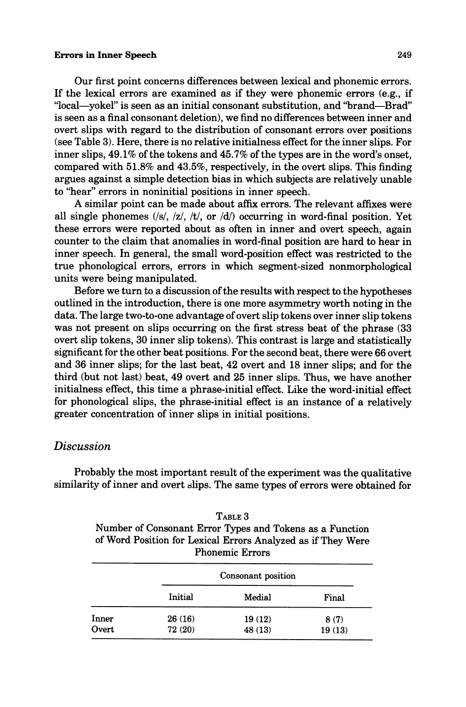Our first point concerns differences between lexical and phonemic errors. If the lexical errors are examined as if they were phonemic errors (e.g., if "local-yokel" is seen as an initial consonant substitution, and ''brand-Brad'' is seen as a final consonant deletion), we find no differences between inner and overt slips with regard to the distribution of consonant errors over positions (see Table 3). Here, there is no relative initialness effect for the inner slips. For inner slips, 49.1% of the tokens and 45.7% of the types are in the word's onset, compared with 51.8% and 43.5%, respectively, in the overt slips. This finding argues against a simple detection bias in which subjects are relatively unable to "hear" errors in noninitial positions in inner speech.

A similar point can be made about affix errors. The relevant affixes were all single phonemes  $(|s|, |z|, |t|, \text{ or } |d)$  occurring in word-final position. Yet these errors were reported about as often in inner and overt speech, again counter to the claim that anomalies in word-final position are hard to hear in inner speech. In general, the small word-position effect was restricted to the true phonological errors, errors in which segment-sized nonmorphological units were being manipulated.

Before we turn to a discussion of the results with respect to the hypotheses outlined in the introduction, there is one more asymmetry worth noting in the data. The large two-to-one advantage of overt slip tokens over inner slip tokens was not present on slips occurring on the first stress beat of the phrase (33) overt slip tokens, 30 inner slip tokens). This contrast is large and statistically significant for the other beat positions. For the second beat, there were 66 overt and 36 inner slips; for the last beat, 42 overt and 18 inner slips; and for the third (but not last) beat, 49 overt and 25 inner slips. Thus, we have another initialness effect, this time a phrase-initial effect. Like the word-initial effect for phonological slips, the phrase-initial effect is an instance of a relatively greater concentration of inner slips in initial positions.

# *Discussion*

Probably the most important result of the experiment was the qualitative similarity of inner and overt slips. The same types of errors were obtained for

TABLE 3 Number of Consonant Error Types and Tokens as a Function of Word Position for Lexical Errors Analyzed as if They Were Phonemic Errors

|       |         | Consonant position |        |  |
|-------|---------|--------------------|--------|--|
|       | Initial | Medial             | Final  |  |
| Inner | 26(16)  | 19(12)             | 8(7)   |  |
| Overt | 72 (20) | 48 (13)            | 19(13) |  |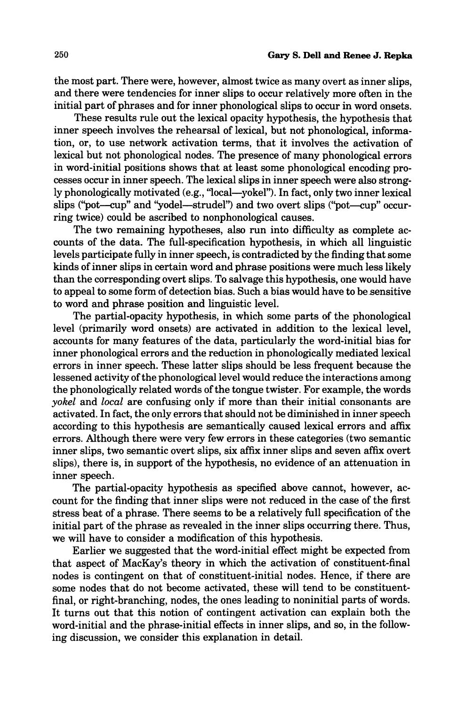the most part. There were, however, almost twice as many overt as inner slips, and there were tendencies for inner slips to occur relatively more often in the initial part of phrases and for inner phonological slips to occur in word onsets.

These results rule out the lexical opacity hypothesis, the hypothesis that inner speech involves the rehearsal of lexical, but not phonological, information, or, to use network activation terms, that it involves the activation of lexical but not phonological nodes. The presence of many phonological errors in word-initial positions shows that at least some phonological encoding processes occur in inner speech. The lexical slips in inner speech were also strongly phonologically motivated (e.g., ''local-yokel"). In fact, only two inner lexical slips (''pot--cup'' and ''yodel-strudel'') and two overt slips (''pot--cup'' occurring twice) could be ascribed to nonphonological causes.

The two remaining hypotheses, also run into difficulty as complete accounts of the data. The full-specification hypothesis, in which all linguistic levels participate fully in inner speech, is contradicted by the finding that some kinds of inner slips in certain word and phrase positions were much less likely than the corresponding overt slips. To salvage this hypothesis, one would have to appeal to some form of detection bias. Such a bias would have to be.sensitive to word and phrase position and linguistic level.

The partial-opacity hypothesis, in which some parts of the phonological level (primarily word onsets) are activated in addition to the lexical level, accounts for many features of the data, particularly the word-initial bias for inner phonological errors and the reduction in phonologically mediated lexical errors in inner speech. These latter slips should be less frequent because the lessened activity of the phonological level would reduce the interactions among the phonologically related words of the tongue twister. For example, the words *yokel* and *local* are confusing only if more than their initial consonants are activated. In fact, the only errors that should not be diminished in inner speech according to this hypothesis are semantically caused lexical errors and affix errors. Although there were very few errors in these categories (two semantic inner slips, two semantic overt slips, six affix inner slips and seven affix overt slips), there is, in support of the hypothesis, no evidence of an attenuation in inner speech.

The partial-opacity hypothesis as specified above cannot, however, account for the finding that inner slips were not reduced in the case of the first stress beat of a phrase. There seems to be a relatively full specification of the initial part of the phrase as revealed in the inner slips occurring there. Thus, we will have to consider a modification of this hypothesis.

Earlier we suggested that the word-initial effect might be expected from that aspect of MacKay's theory in which the activation of constituent-final nodes is contingent on that of constituent-initial nodes. Hence, if there are some nodes that do not become activated, these will tend to be constituentfinal, or right-branching, nodes, the ones leading to noninitial parts of words. It turns out that this notion of contingent activation can explain both the word-initial and the phrase-initial effects in inner slips, and so, in the following discussion, we consider this explanation in detail.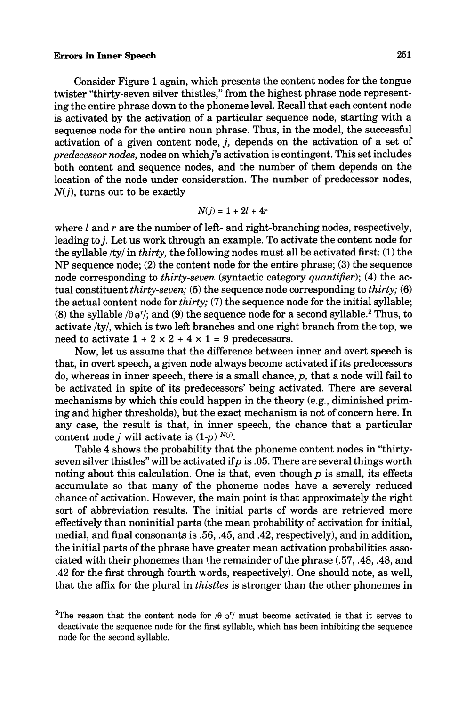Consider Figure 1 again, which presents the content nodes for the tongue twister ''thirty-seven silver thistles," from the highest phrase node representing the entire phrase down to the phoneme level. Recall that each content node is activated by the activation of a particular sequence node, starting with a sequence node for the entire noun phrase. Thus, in the model, the successful activation of a given content node,  $j$ , depends on the activation of a set of *predecessor nodes, nodes on which j's activation is contingent. This set includes* both content and sequence nodes, and the number of them depends on the location of the node under consideration. The number of predecessor nodes,  $N(i)$ , turns out to be exactly

$$
N(j) = 1 + 2l + 4r
$$

where  $l$  and  $r$  are the number of left- and right-branching nodes, respectively, leading to *i*. Let us work through an example. To activate the content node for the syllable /ty/ in *thirty,* the following nodes must all be activated first: (1) the NP sequence node; (2) the content node for the entire phrase; (3) the sequence node corresponding to *thirty-seven* (syntactic category *quantifier);* (4) the actual constituent *thirty-seven;* (5) the sequence node corresponding to *thirty; (6)*  the actual content node for *thirty;* (7) the sequence node for the initial syllable; (8) the syllable  $\theta \theta \theta$ <sup>r</sup>/; and (9) the sequence node for a second syllable.<sup>2</sup> Thus, to activate  $/ty/$ , which is two left branches and one right branch from the top, we need to activate  $1 + 2 \times 2 + 4 \times 1 = 9$  predecessors.

Now, let us assume that the difference between inner and overt speech is that, in overt speech, a given node always become activated if its predecessors do, whereas in inner speech, there is a small chance, p, that a node will fail to be activated in spite of its predecessors' being activated. There are several mechanisms by which this could happen in the theory (e.g., diminished priming and higher thresholds), but the exact mechanism is not of concern here. In any case, the result is that, in inner speech, the chance that a particular content node *i* will activate is  $(1-p)^{N(j)}$ .

Table 4 shows the probability that the phoneme content nodes in ''thirtyseven silver thistles" will be activated if  $p$  is .05. There are several things worth noting about this calculation. One is that, even though  $p$  is small, its effects accumulate so that many of the phoneme nodes have a severely reduced chance of activation. However, the main point is that approximately the right sort of abbreviation results. The initial parts of words are retrieved more effectively than noninitial parts (the mean probability of activation for initial, medial, and final consonants is .56, .45, and .42, respectively), and in addition, the initial parts of the phrase have greater mean activation probabilities associated with their phonemes than the remainder of the phrase (.57, .48, .48, and .42 for the first through fourth words, respectively). One should note, as well, that the affix for the plural in *thistles* is stronger than the other phonemes in

<sup>&</sup>lt;sup>2</sup>The reason that the content node for  $\theta \theta$  <sup>ar</sup>/ must become activated is that it serves to deactivate the sequence node for the first syllable, which has been inhibiting the sequence node for the second syllable.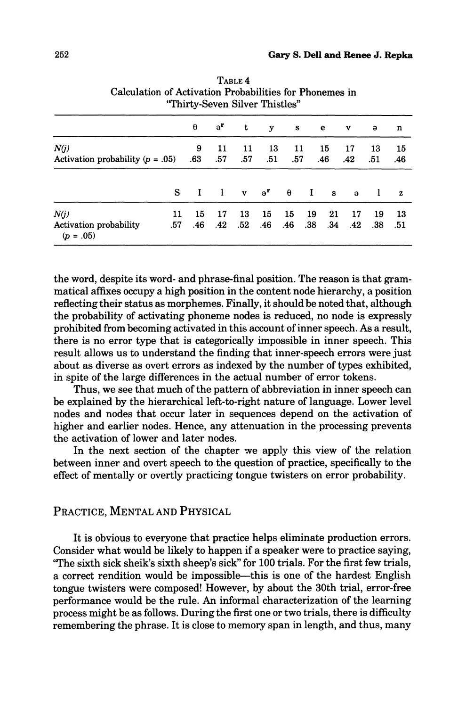|                                              |     | THIT TA-DEAGH DHAGI THIPPIGS |                           |     |                            |     |              |              |              |            |     |
|----------------------------------------------|-----|------------------------------|---------------------------|-----|----------------------------|-----|--------------|--------------|--------------|------------|-----|
|                                              |     | θ                            | $\mathbf{a}^{\mathbf{r}}$ | t   | y                          | s   | $\mathbf{e}$ |              | $\mathbf{v}$ | $\partial$ | n   |
| N(j)                                         |     | 9                            | 11                        | 11  | 13                         | 11  |              | 15           | 17           | 13         | 15  |
| Activation probability $(p = .05)$           |     | .63                          | .57                       | .57 | .51                        | .57 |              | .46          | .42          | .51        | .46 |
|                                              | S.  | $\bf{I}$                     | -1                        |     | $v \quad a^r \quad \theta$ |     | $\mathbf{I}$ | $\mathbf{s}$ | $\theta$     | -1         | z   |
| N(j)                                         | 11  | 15                           | 17                        | 13  | 15                         | 15  | 19           | 21           | 17           | 19         | -13 |
| <b>Activation probability</b><br>$(p = .05)$ | .57 | .46                          | .42                       | .52 | .46                        | .46 | .38          | .34          | .42          | .38        | .51 |

| TABLE 4                                                 |  |
|---------------------------------------------------------|--|
| Calculation of Activation Probabilities for Phonemes in |  |
| "Thirty-Seven Silver Thistles"                          |  |

the word, despite its word- and phrase-final position. The reason is that grammatical affixes occupy a high position in the content node hierarchy, a position reflecting their status as morphemes. Finally, it should be noted that, although the probability of activating phoneme nodes is reduced, no node is expressly prohibited from becoming activated in this account of inner speech. As a result, there is no error type that is categorically impossible in inner speech. This result allows us to understand the finding that inner-speech errors were just about as diverse as overt errors as indexed by the number of types exhibited, in spite of the large differences in the actual number of error tokens.

Thus, we see that much of the pattern of abbreviation in inner speech can be explained by the hierarchical left-to-right nature of language. Lower level nodes and nodes that occur later in sequences depend on the activation of higher and earlier nodes. Hence, any attenuation in the processing prevents the activation of lower and later nodes.

In the next section of the chapter we apply this view of the relation between inner and overt speech to the question of practice, specifically to the effect of mentally or overtly practicing tongue twisters on error probability.

# PRACTICE, MENTAL AND PHYSICAL

It is obvious to everyone that practice helps eliminate production errors. Consider what would be likely to happen if a speaker were to practice saying, "The sixth sick sheik's sixth sheep's sick" for 100 trials. For the first few trials, a correct rendition would be impossible—this is one of the hardest English tongue twisters were composed! However, by about the 30th trial, error-free performance would be the rule. An informal characterization of the learning process might be as follows. During the first one or two trials, there is difficulty remembering the phrase. It is close to memory span in length, and thus, many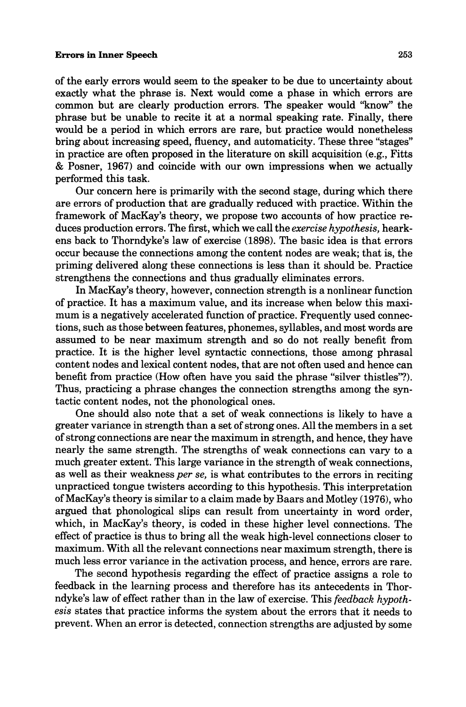of the early errors would seem to the speaker to be due to uncertainty about exactly what the phrase is. Next would come a phase in which errors are common but are clearly production errors. The speaker would "know" the phrase but be unable to recite it at a normal speaking rate. Finally, there would be a period in which errors are rare, but practice would nonetheless bring about increasing speed, fluency, and automaticity. These three "stages" in practice are often proposed in the literature on skill acquisition (e.g., Fitts & Posner, 1967) and coincide with our own impressions when we actually performed this task.

Our concern here is primarily with the second stage, during which there are errors of production that are gradually reduced with practice. Within the framework of MacKay's theory, we propose two accounts of how practice reduces production errors. The first, which we call the *exercise hypothesis,* hearkens back to Thorndyke's law of exercise (1898). The basic idea is that errors occur because the connections among the content nodes are weak; that is, the priming delivered along these connections is less than it should be. Practice strengthens the connections and thus gradually eliminates errors.

In MacKay's theory, however, connection strength is a nonlinear function of practice. It has a maximum value, and its increase when below this maximum is a negatively accelerated function of practice. Frequently used connections, such as those between features, phonemes, syllables, and most words are assumed to be near maximum strength and so do not really benefit from practice. It is the higher level syntactic connections, those among phrasal content nodes and lexical content nodes, that are not often used and hence can benefit from practice (How often have you said the phrase "silver thistles''?). Thus, practicing a phrase changes the connection strengths among the syntactic content nodes, not the phonological ones.

One should also note that a set of weak connections is likely to have a greater variance in strength than a set of strong ones. All the members in a set of strong connections are near the maximum in strength, and hence, they have nearly the same strength. The strengths of weak connections can vary to a much greater extent. This large variance in the strength of weak connections, as well as their weakness *per se,* is what contributes to the errors in reciting unpracticed tongue twisters according to this hypothesis. This interpretation of MacKay's theory is similar to a claim made by Baars and Motley (1976), who argued that phonological slips can result from uncertainty in word order, which, in MacKay's theory, is coded in these higher level connections. The effect of practice is thus to bring all the weak high-level connections closer to maximum. With all the relevant connections near maximum strength, there is much less error variance in the activation process, and hence, errors are rare.

The second hypothesis regarding the effect of practice assigns a role to feedback in the learning process and therefore has its antecedents in Thorndyke's law of effect rather than in the law of exercise. This *feedback hypothesis* states that practice informs the system about the errors that it needs to prevent. When an error is detected, connection strengths are adjusted by some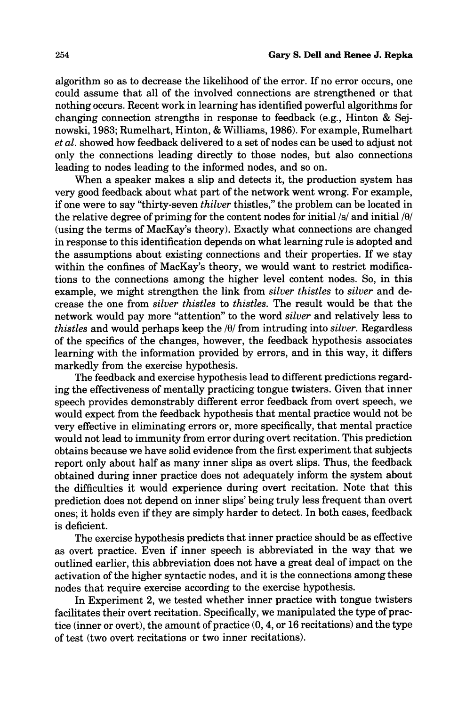algorithm so as to decrease the likelihood of the error. If no error occurs, one could assume that all of the involved connections are strengthened or that nothing occurs. Recent work in learning has identified powerful algorithms for changing connection strengths in response to feedback (e.g., Hinton & Sejnowski, 1983; Rumelhart, Hinton, & Williams, 1986). For example, Rumelhart *et al.* showed how feedback delivered to a set of nodes can be used to adjust not only the connections leading directly to those nodes, but also connections leading to nodes leading to the informed nodes, and so on.

When a speaker makes a slip and detects it, the production system has very good feedback about what part of the network went wrong. For example, if one were to say "thirty-seven *thilver* thistles," the problem can be located in the relative degree of priming for the content nodes for initial  $/s/$  and initial  $/0/$ (using the terms of MacKay's theory). Exactly what connections are changed in response to this identification depends on what learning rule is adopted and the assumptions about existing connections and their properties. If we stay within the confines of MacKay's theory, we would want to restrict modifications to the connections among the higher level content nodes. So, in this example, we might strengthen the link from *silver thistles* to *silver* and decrease the one from *silver thistles* to *thistles.* The result would be that the network would pay more "attention" to the word *silver* and relatively less to *thistles* and would perhaps keep the /8/ from intruding into *silver.* Regardless of the specifics of the changes, however, the feedback hypothesis associates learning with the information provided by errors, and in this way, it differs markedly from the exercise hypothesis.

The feedback and exercise hypothesis lead to different predictions regarding the effectiveness of mentally practicing tongue twisters. Given that inner speech provides demonstrably different error feedback from overt speech, we would expect from the feedback hypothesis that mental practice would not be very effective in eliminating errors or, more specifically, that mental practice would not lead to immunity from error during overt recitation. This prediction obtains because we have solid evidence from the first experiment that subjects report only about half as many inner slips as overt slips. Thus, the feedback obtained during inner practice does not adequately inform the system about the difficulties it would experience during overt recitation. Note that this prediction does not depend on inner slips' being truly less frequent than overt ones; it holds even if they are simply harder to detect. In both cases, feedback is deficient.

The exercise hypothesis predicts that inner practice should be as effective as overt practice. Even if inner speech is abbreviated in the way that we outlined earlier, this abbreviation does not have a great deal of impact on the activation of the higher syntactic nodes, and it is the connections among these nodes that require exercise according to the exercise hypothesis.

In Experiment 2, we tested whether inner practice with tongue twisters facilitates their overt recitation. Specifically, we manipulated the type of practice (inner or overt), the amount of practice (0, 4, or 16 recitations) and the type of test (two overt recitations or two inner recitations).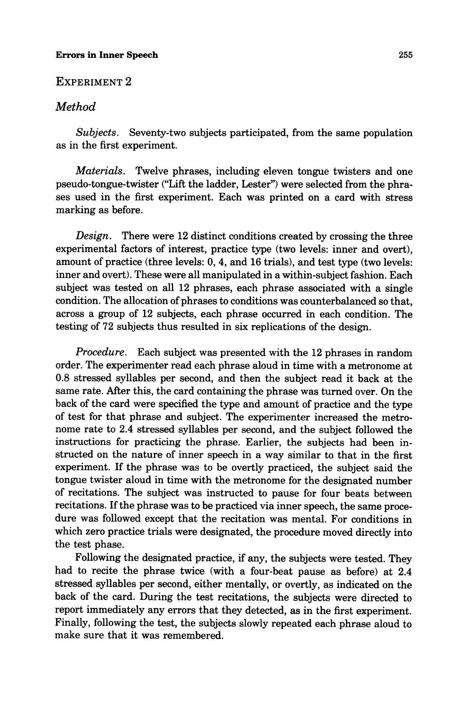# EXPERIMENT 2

## *Method*

*Subjects.* Seventy-two subjects participated, from the same population as in the first experiment.

*Materials.* Twelve phrases, including eleven tongue twisters and one pseudo-tongue-twister ("Lift the ladder, Lester") were selected from the phrases used in the first experiment. Each was printed on a card with stress marking as before.

*Design.* There were 12 distinct conditions created by crossing the three experimental factors of interest, practice type (two levels: inner and overt), amount of practice (three levels: 0, 4, and 16 trials), and test type (two levels: inner and overt). These were all manipulated in a within-subject fashion. Each subject was tested on all 12 phrases, each phrase associated with a single condition. The allocation of phrases to conditions was counterbalanced so that, across a group of 12 subjects, each phrase occurred in each condition. The testing of 72 subjects thus resulted in six replications of the design.

*Procedure.* Each subject was presented with the 12 phrases in random order. The experimenter read each phrase aloud in time with a metronome at 0.8 stressed syllables per second, and then the subject read it back at the same rate. After this, the card containing the phrase was turned over. On the back of the card were specified the type and amount of practice and the type of test for that phrase and subject. The experimenter increased the metronome rate to 2.4 stressed syllables per second, and the subject followed the instructions for practicing the phrase. Earlier, the subjects had been instructed on the nature of inner speech in a way similar to that in the first experiment. If the phrase was to be overtly practiced, the subject said the tongue twister aloud in time with the metronome for the designated number of recitations. The subject was instructed to pause for four beats between recitations. If the phrase was to be practiced via inner speech, the same procedure was followed except that the recitation was mental. For conditions in which zero practice trials were designated, the procedure moved directly into the test phase.

Following the designated practice, if any, the subjects were tested. They had to recite the phrase twice (with a four-beat pause as before) at 2.4 stressed syllables per second, either mentally, or overtly, as indicated on the back of the card. During the test recitations, the subjects were directed to report immediately any errors that they detected, as in the first experiment. Finally, following the test, the subjects slowly repeated each phrase aloud to make sure that it was remembered.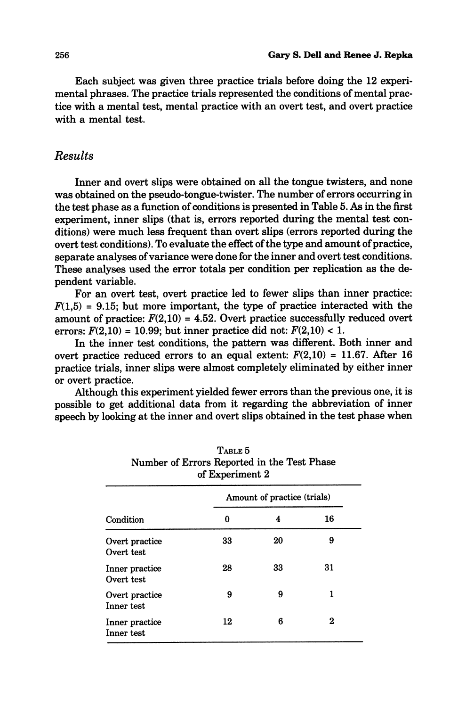Each subject was given three practice trials before doing the 12 experimental phrases. The practice trials represented the conditions of mental practice with a mental test, mental practice with an overt test, and overt practice with a mental test.

# *Results*

Inner and overt slips were obtained on all the tongue twisters, and none was obtained on the pseudo-tongue-twister. The number of errors occurring in the test phase as a function of conditions is presented in Table 5. As in the first experiment, inner slips (that is, errors reported during the mental test conditions) were much less frequent than overt slips (errors reported during the overt test conditions). To evaluate the effect of the type and amount of practice, separate analyses of variance were done for the inner and overt test conditions. These analyses used the error totals per condition per replication as the dependent variable.

For an overt test, overt practice led to fewer slips than inner practice:  $F(1,5) = 9.15$ ; but more important, the type of practice interacted with the amount of practice:  $F(2,10) = 4.52$ . Overt practice successfully reduced overt errors:  $F(2,10) = 10.99$ ; but inner practice did not:  $F(2,10) < 1$ .

In the inner test conditions, the pattern was different. Both inner and overt practice reduced errors to an equal extent:  $F(2,10) = 11.67$ . After 16 practice trials, inner slips were almost completely eliminated by either inner or overt practice.

Although this experiment yielded fewer errors than the previous one, it is possible to get additional data from it regarding the abbreviation of inner speech by looking at the inner and overt slips obtained in the test phase when

| ט שעתת ב<br>Number of Errors Reported in the Test Phase<br>of Experiment 2 |    |                             |    |  |  |  |
|----------------------------------------------------------------------------|----|-----------------------------|----|--|--|--|
|                                                                            |    | Amount of practice (trials) |    |  |  |  |
| Condition                                                                  | 0  | 4                           | 16 |  |  |  |
| Overt practice<br>Overt test                                               | 33 | 20                          | 9  |  |  |  |
| Inner practice<br>Overt test                                               | 28 | 33                          | 31 |  |  |  |
| Overt practice<br>Inner test                                               | 9  | 9                           | 1  |  |  |  |
| Inner practice<br>Inner test                                               | 12 | 6                           | 2  |  |  |  |

TABLE 5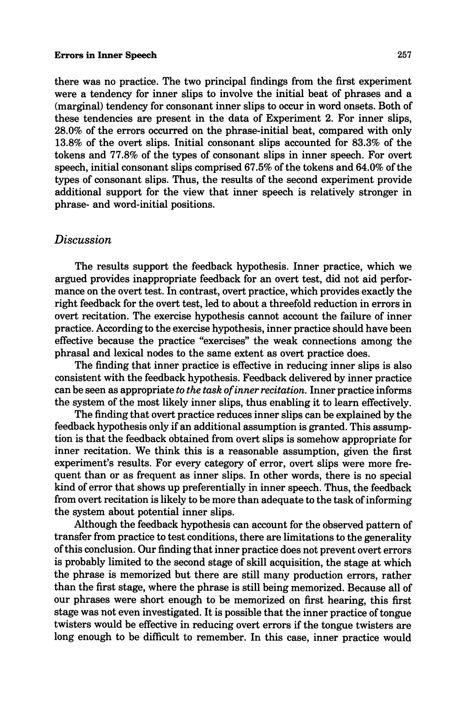there was no practice. The two principal findings from the first experiment were a tendency for inner slips to involve the initial beat of phrases and a (marginal) tendency for consonant inner slips to occur in word onsets. Both of these tendencies are present in the data of Experiment 2. For inner slips, 28.0% of the errors occurred on the phrase-initial beat, compared with only 13.8% of the overt slips. Initial consonant slips accounted for 83.3% of the tokens and 77.8% of the types of consonant slips in inner speech. For overt speech, initial consonant slips comprised 67.5% of the tokens and 64.0% of the types of consonant slips. Thus, the results of the second experiment provide additional support for the view that inner speech is relatively stronger in phrase- and word-initial positions.

# *Discussion*

The results support the feedback hypothesis. Inner practice, which we argued provides inappropriate feedback for an overt test, did not aid performance on the overt test. In contrast, overt practice, which provides exactly the right feedback for the overt test, led to about a threefold reduction in errors in overt recitation. The exercise hypothesis cannot account the failure of inner practice. According to the exercise hypothesis, inner practice should have been effective because the practice "exercises" the weak connections among the phrasal and lexical nodes to the same extent as overt practice does.

The finding that inner practice is effective in reducing inner slips is also consistent with the feedback hypothesis. Feedback delivered by inner practice can be seen as appropriate *to the task orinner recitation.* Inner practice informs the system of the most likely inner slips, thus enabling it to learn effectively.

The finding that overt practice reduces inner slips can be explained by the feedback hypothesis only if an additional assumption is granted. This assumption is that the feedback obtained from overt slips is somehow appropriate for inner recitation. We think this is a reasonable assumption, given the first experiment's results. For every category of error, overt slips were more frequent than or as frequent as inner slips. In other words, there is no special kind of error that shows up preferentially in inner speech. Thus, the feedback from overt recitation is likely to be more than adequate to the task of informing the system about potential inner slips.

Although the feedback hypothesis can account for the observed pattern of transfer from practice to test conditions, there are limitations to the generality of this conclusion. Our finding that inner practice does not prevent overt errors is probably limited to the second stage of skill acquisition, the stage at which the phrase is memorized but there are still many production errors, rather than the first stage, where the phrase is still being memorized. Because all of our phrases were short enough to be memorized on first hearing, this first stage was not even investigated. It is possible that the inner practice of tongue twisters would be effective in reducing overt errors if the tongue twisters are long enough to be difficult to remember. In this case, inner practice would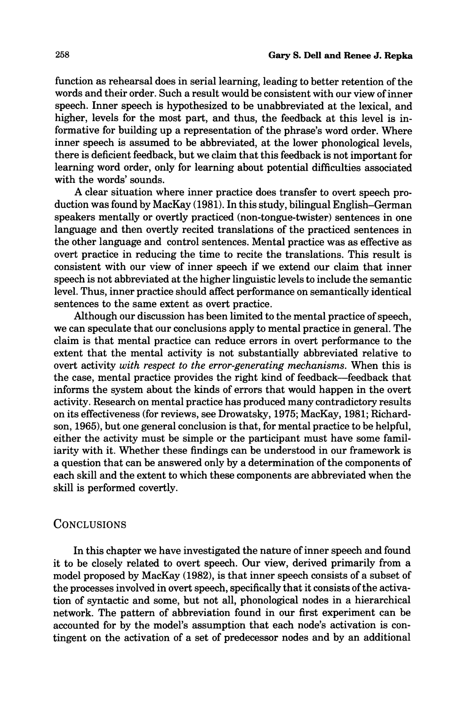function as rehearsal does in serial learning, leading to better retention of the words and their order. Such a result would be consistent with our view ofinner speech. Inner speech is hypothesized to be unabbreviated at the lexical, and higher, levels for the most part, and thus, the feedback at this level is informative for building up a representation of the phrase's word order. Where inner speech is assumed to be abbreviated, at the lower phonological levels, there is deficient feedback, but we claim that this feedback is not important for learning word order, only for learning about potential difficulties associated with the words' sounds.

A clear situation where inner practice does transfer to overt speech production was found by MacKay (1981). In this study, bilingual English-German speakers mentally or overtly practiced (non-tongue-twister) sentences in one language and then overtly recited translations of the practiced sentences in the other language and control sentences. Mental practice was as effective as overt practice in reducing the time to recite the translations. This result is consistent with our view of inner speech if we extend our claim that inner speech is not abbreviated at the higher linguistic levels to include the semantic level. Thus, inner practice should affect performance on semantically identical sentences to the same extent as overt practice.

Although our discussion has been limited to the mental practice of speech, we can speculate that our conclusions apply to mental practice in general. The claim is that mental practice can reduce errors in overt performance to the extent that the mental activity is not substantially abbreviated relative to overt activity *with respect to the error-generating mechanisms.* When this is the case, mental practice provides the right kind of feedback-feedback that informs the system about the kinds of errors that would happen in the overt activity. Research on mental practice has produced many contradictory results on its effectiveness (for reviews, see Drowatsky, 1975; MacKay, 1981; Richardson, 1965), but one general conclusion is that, for mental practice to be helpful, either the activity must be simple or the participant must have some familiarity with it. Whether these findings can be understood in our framework is a question that can be answered only by a determination of the components of each skill and the extent to which these components are abbreviated when the skill is performed covertly.

# **CONCLUSIONS**

In this chapter we have investigated the nature of inner speech and found it to be closely related to overt speech. Our view, derived primarily from a model proposed by MacKay (1982), is that inner speech consists of a subset of the processes involved in overt speech, specifically that it consists of the activation of syntactic and some, but not all, phonological nodes in a hierarchical network. The pattern of abbreviation found in our first experiment can be accounted for by the model's assumption that each node's activation is contingent on the activation of a set of predecessor nodes and by an additional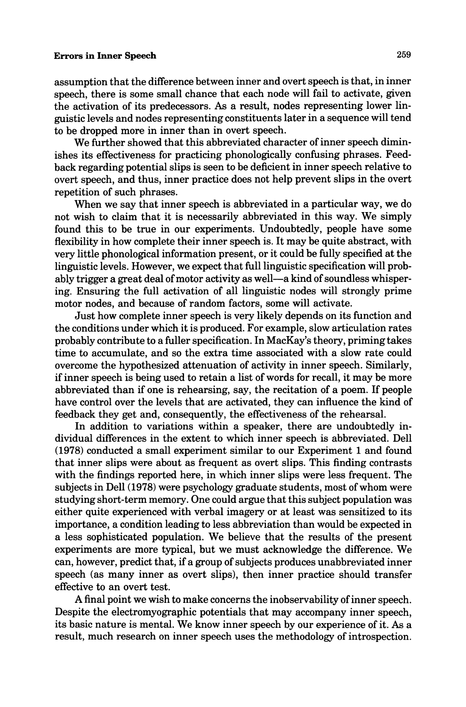assumption that the difference between inner and overt speech is that, in inner speech, there is some small chance that each node will fail to activate, given the activation of its predecessors. As a result, nodes representing lower linguistic levels and nodes representing constituents later in a sequence will tend to be dropped more in inner than in overt speech.

We further showed that this abbreviated character of inner speech diminishes its effectiveness for practicing phonologically confusing phrases. Feedback regarding potential slips is seen to be deficient in inner speech relative to overt speech, and thus, inner practice does not help prevent slips in the overt repetition of such phrases.

When we say that inner speech is abbreviated in a particular way, we do not wish to claim that it is necessarily abbreviated in this way. We simply found this to be true in our experiments. Undoubtedly, people have some flexibility in how complete their inner speech is. It may be quite abstract, with very little phonological information present, or it could be fully specified at the linguistic levels. However, we expect that full linguistic specification will probably trigger a great deal of motor activity as well-a kind of soundless whispering. Ensuring the full activation of all linguistic nodes will strongly prime motor nodes, and because of random factors, some will activate.

Just how complete inner speech is very likely depends on its function and the conditions under which it is produced. For example, slow articulation rates probably contribute to a fuller specification. In MacKay's theory, priming takes time to accumulate, and so the extra time associated with a slow rate could overcome the hypothesized attenuation of activity in inner speech. Similarly, if inner speech is being used to retain a list of words for recall, it may be more abbreviated than if one is rehearsing, say, the recitation of a poem. If people have control over the levels that are activated, they can influence the kind of feedback they get and, consequently, the effectiveness of the rehearsal.

In addition to variations within a speaker, there are undoubtedly individual differences in the extent to which inner speech is abbreviated. Dell (1978) conducted a small experiment similar to our Experiment 1 and found that inner slips were about as frequent as overt slips. This finding contrasts with the findings reported here, in which inner slips were less frequent. The subjects in Dell (1978) were psychology graduate students, most of whom were studying short-term memory. One could argue that this subject population was either quite experienced with verbal imagery or at least was sensitized to its importance, a condition leading to less abbreviation than would be expected in a less sophisticated population. We believe that the results of the present experiments are more typical, but we must acknowledge the difference. We can, however, predict that, if a group of subjects produces unabbreviated inner speech (as many inner as overt slips), then inner practice should transfer effective to an overt test.

A final point we wish to make concerns the inobservability of inner speech. Despite the electromyographic potentials that may accompany inner speech, its basic nature is mental. We know inner speech by our experience of it. As a result, much research on inner speech uses the methodology of introspection.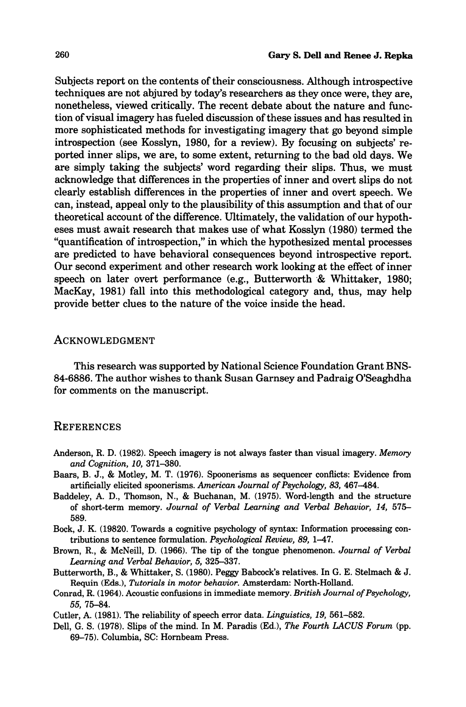Subjects report on the contents of their consciousness. Although introspective techniques are not abjured by today's researchers as they once were, they are, nonetheless, viewed critically. The recent debate about the nature and function of visual imagery has fueled discussion of these issues and has resulted in more sophisticated methods for investigating imagery that go beyond simple introspection (see Kosslyn, 1980, for a review). By focusing on subjects' reported inner slips, we are, to some extent, returning to the bad old days. We are simply taking the subjects' word regarding their slips. Thus, we must acknowledge that differences in the properties of inner and overt slips do not clearly establish differences in the properties of inner and overt speech. We can, instead, appeal only to the plausibility of this assumption and that of our theoretical account of the difference. Ultimately, the validation of our hypotheses must await research that makes use of what Kosslyn (1980) termed the "quantification of introspection," in which the hypothesized mental processes are predicted to have behavioral consequences beyond introspective report. Our second experiment and other research work looking at the effect of inner speech on later overt performance (e.g., Butterworth & Whittaker, 1980; MacKay, 1981) fall into this methodological category and, thus, may help provide better clues to the nature of the voice inside the head.

#### ACKNOWLEDGMENT

This research was supported by National Science Foundation Grant BNS-84-6886. The author wishes to thank Susan Garnsey and Padraig O'Seaghdha for comments on the manuscript.

#### **REFERENCES**

- Anderson, R. D. (1982). Speech imagery is not always faster than visual imagery. *Memory and Cognition, 10, 371-380.*
- Baars, B. J., & Motley, M. T. (1976). Spoonerisms as sequencer conflicts: Evidence from artificially elicited spoonerisms. *American Journal of Psyclwlogy,* 83, 467-484.
- Baddeley, A. D., Thomson, N., & Buchanan, M. (1975). Word-length and the structure of short-term memory. *Journal of Verbal Learning and Verbal Behavior,* 14, 575- 589.
- Bock, J. K. (19820. Towards a cognitive psychology of syntax: Information processing contributions to sentence formulation. *Psychological Review,* 89, 1-47.
- Brown, R., & McNeill, D. (1966). The tip of the tongue phenomenon. *Journal of Verbal Learning and Verbal Behavior,* 5, 325-337.
- Butterworth, B., & Whittaker, S. (1980). Peggy Babcock's relatives. In G. E. Stelmach & J. Requin (Eds.), *Tutorials in motor behavior.* Amsterdam: North-Holland.
- Conrad, R. (1964). Acoustic confusions in immediate memory. *British Journal of Psychology,*  55,75-84.
- Cutler, A. (1981). The reliability of speech error data. *Linguistics,* 19, 561-582.
- Dell, G. S. (1978). Slips of the mind. In M. Paradis (Ed.), *The Fourth LACUS Forum* (pp. 69-75). Columbia, SC: Hornbeam Press.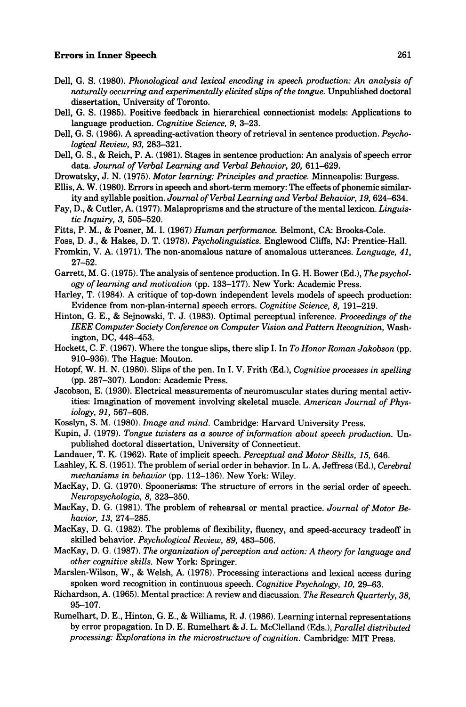- Dell, G. S. (1980). *Phonological and lexical encoding in speech production: An analysis of naturally occurring and experimentally elicited slips of the tongue.* Unpublished doctoral dissertation, University of Toronto.
- Dell, G. S. (1985). Positive feedback in hierarchical connectionist models: Applications to language production. *Cognitive Science,* 9, 3-23.
- Dell, G. S. (1986). A spreading-activation theory of retrieval in sentence production. *Psychological Review,* 93, 283-321.
- Dell, G. S., & Reich, P. A. (1981). Stages in sentence production: An analysis of speech error data. *Journal of Verbal Learning and Verbal Behavior*, 20, 611–629.
- Drowatsky, J. N. (1975). *Motor learning: Principles and practice.* Minneapolis: Burgess.
- Ellis, A. W. (1980). Errors in speech and short-term memory: The effects of phonemic similarity and syllable position. *Journal of Verbal Learning and Verbal Behavior,* 19, 624-634.
- Fay, D., & Cutler, A. (1977). Malaproprisms and the structure of the mental lexicon. *Linguistic Inquiry,* 3, 505-520.
- Fitts, P. M., & Posner, M. I. (1967) *Human performance.* Belmont, CA: Brooks-Cole.
- Foss, D. J., & Hakes, D. T. (1978). *Psycholinguistics.* Englewood Cliffs, NJ: Prentice-Hall.
- Fromkin, V. A. (1971). The non-anomalous nature of anomalous utterances. *Language, 41,*  27-52.
- Garrett, M. G. (1975). The analysis of sentence production. In G. H. Bower (Ed.), *The psychology of learning and motivation* (pp. 133-177). New York: Academic Press.
- Harley, T. (1984). A critique of top-down independent levels models of speech production: Evidence from non-plan-internal speech errors. *Cognitive Science,* 8, 191-219.
- Hinton, G. E., & Sejnowski, T. J. (1983). Optimal perceptual inference. *Proceedings of the IEEE Computer Society Conference on Computer Vision and Pattern Recognition,* Washington, DC, 448-453.
- Hockett, C. F. (1967). Where the tongue slips, there slip I. In *To Honor Roman Jakobson* (pp. 910-936). The Hague: Mouton.
- Hotopf, W. H. N. (1980). Slips of the pen. In I. V. Frith (Ed.), *Cognitive processes in spelling*  (pp. 287-307). London: Academic Press.
- Jacobson, E. (1930). Electrical measurements of neuromuscular states during mental activities: Imagination of movement involving skeletal muscle. *American Journal of Physiology,* 91, 567-608.
- Kosslyn, S. M. (1980). *Image and mind.* Cambridge: Harvard University Press.
- Kupin, J. (1979). *Tongue twisters as a source of information about speech production.* Unpublished doctoral dissertation, University of Connecticut.
- Landauer, T. K. (1962). Rate of implicit speech. *Perceptual and Motor Skills,* 15, 646.
- Lashley, K. S. (1951). The problem of serial order in behavior. In L. A. Jeffress (Ed.), *Cerebral mechanisms in behavior* (pp. 112-136). New York: Wiley.
- MacKay, D. G. (1970). Spoonerisms: The structure of errors in the serial order of speech. *Neuropsychologia,* 8, 323-350.
- MacKay, D. G. (1981). The problem of rehearsal or mental practice. *Journal of Motor Behavior,* 13, 274-285.
- MacKay, D. G. (1982). The problems of flexibility, fluency, and speed-accuracy tradeoff in skilled behavior. *Psychological Review,* 89, 483-506.
- MacKay, D. G. (1987). *The organization of perception and action: A theory for language and other cognitive skills.* New York: Springer.
- Marslen-Wilson, W., & Welsh, A. (1978). Processing interactions and lexical access during spoken word recognition in continuous speech. *Cognitive Psychology, 10, 29-63.*
- Richardson, A. (1965). Mental practice: A review and discussion. *The Research Quarterly, 38,*  95-107.
- Rumelhart, D. E., Hinton, G. E., & Williams, R. J. (1986). Learning internal representations by error propagation. In D. E. Rumelhart & J. L. McClelland (Eds.), *Parallel distributed processing: Explorations in the microstructure of cognition.* Cambridge: MIT Press.